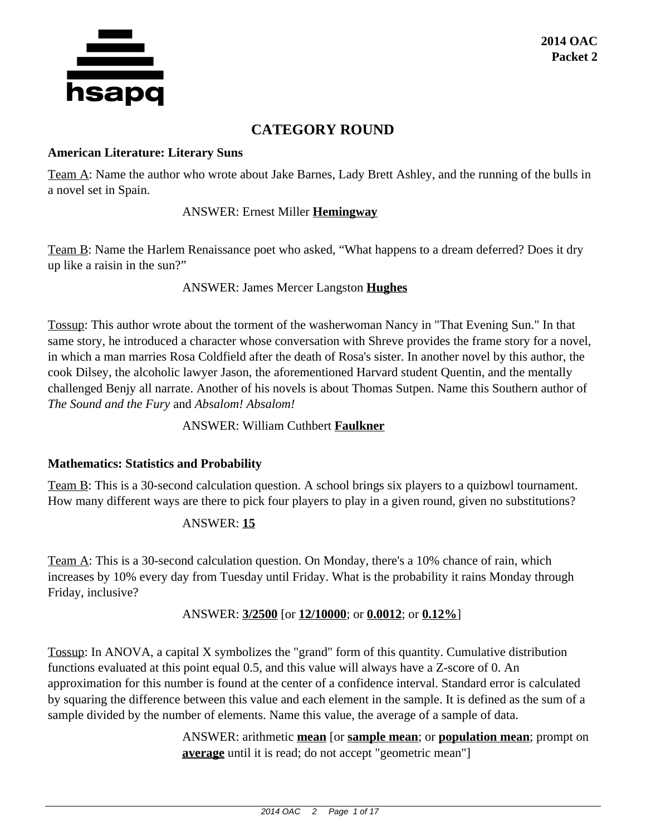

## **CATEGORY ROUND**

## **American Literature: Literary Suns**

Team A: Name the author who wrote about Jake Barnes, Lady Brett Ashley, and the running of the bulls in a novel set in Spain.

## ANSWER: Ernest Miller **Hemingway**

Team B: Name the Harlem Renaissance poet who asked, "What happens to a dream deferred? Does it dry up like a raisin in the sun?"

## ANSWER: James Mercer Langston **Hughes**

Tossup: This author wrote about the torment of the washerwoman Nancy in "That Evening Sun." In that same story, he introduced a character whose conversation with Shreve provides the frame story for a novel, in which a man marries Rosa Coldfield after the death of Rosa's sister. In another novel by this author, the cook Dilsey, the alcoholic lawyer Jason, the aforementioned Harvard student Quentin, and the mentally challenged Benjy all narrate. Another of his novels is about Thomas Sutpen. Name this Southern author of *The Sound and the Fury* and *Absalom! Absalom!*

## ANSWER: William Cuthbert **Faulkner**

## **Mathematics: Statistics and Probability**

Team B: This is a 30-second calculation question. A school brings six players to a quizbowl tournament. How many different ways are there to pick four players to play in a given round, given no substitutions?

## ANSWER: **15**

Team A: This is a 30-second calculation question. On Monday, there's a 10% chance of rain, which increases by 10% every day from Tuesday until Friday. What is the probability it rains Monday through Friday, inclusive?

## ANSWER: **3/2500** [or **12/10000**; or **0.0012**; or **0.12%**]

Tossup: In ANOVA, a capital X symbolizes the "grand" form of this quantity. Cumulative distribution functions evaluated at this point equal 0.5, and this value will always have a Z-score of 0. An approximation for this number is found at the center of a confidence interval. Standard error is calculated by squaring the difference between this value and each element in the sample. It is defined as the sum of a sample divided by the number of elements. Name this value, the average of a sample of data.

> ANSWER: arithmetic **mean** [or **sample mean**; or **population mean**; prompt on **average** until it is read; do not accept "geometric mean"]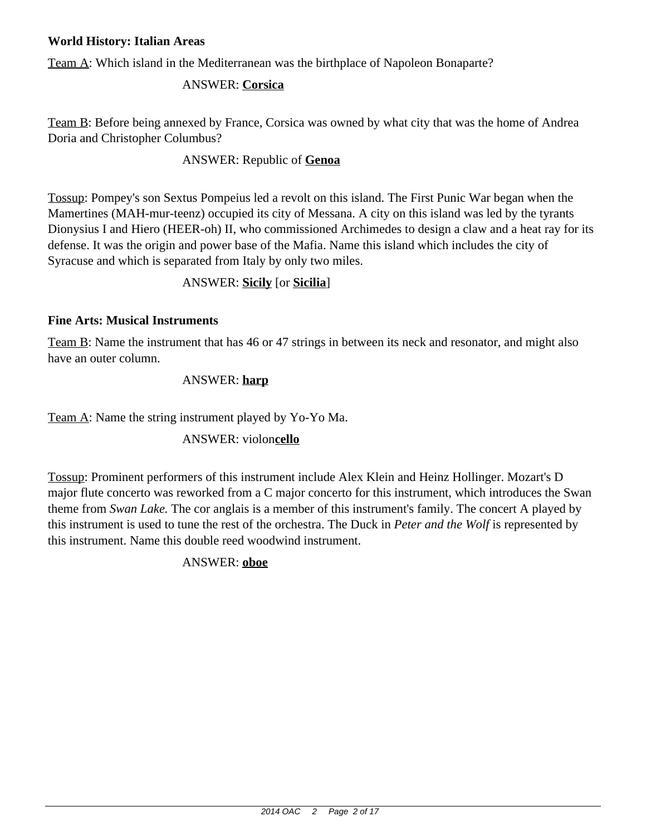## **World History: Italian Areas**

Team A: Which island in the Mediterranean was the birthplace of Napoleon Bonaparte?

## ANSWER: **Corsica**

Team B: Before being annexed by France, Corsica was owned by what city that was the home of Andrea Doria and Christopher Columbus?

## ANSWER: Republic of **Genoa**

Tossup: Pompey's son Sextus Pompeius led a revolt on this island. The First Punic War began when the Mamertines (MAH-mur-teenz) occupied its city of Messana. A city on this island was led by the tyrants Dionysius I and Hiero (HEER-oh) II, who commissioned Archimedes to design a claw and a heat ray for its defense. It was the origin and power base of the Mafia. Name this island which includes the city of Syracuse and which is separated from Italy by only two miles.

## ANSWER: **Sicily** [or **Sicilia**]

## **Fine Arts: Musical Instruments**

Team B: Name the instrument that has 46 or 47 strings in between its neck and resonator, and might also have an outer column.

## ANSWER: **harp**

Team A: Name the string instrument played by Yo-Yo Ma.

## ANSWER: violon**cello**

Tossup: Prominent performers of this instrument include Alex Klein and Heinz Hollinger. Mozart's D major flute concerto was reworked from a C major concerto for this instrument, which introduces the Swan theme from *Swan Lake.* The cor anglais is a member of this instrument's family. The concert A played by this instrument is used to tune the rest of the orchestra. The Duck in *Peter and the Wolf* is represented by this instrument. Name this double reed woodwind instrument.

ANSWER: **oboe**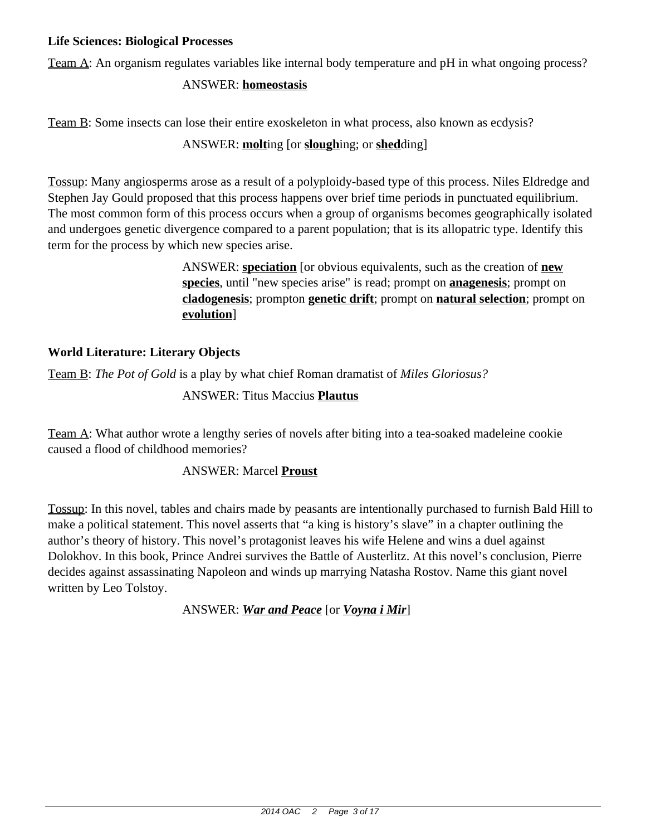## **Life Sciences: Biological Processes**

Team A: An organism regulates variables like internal body temperature and pH in what ongoing process?

## ANSWER: **homeostasis**

Team B: Some insects can lose their entire exoskeleton in what process, also known as ecdysis?

## ANSWER: **molt**ing [or **slough**ing; or **shed**ding]

Tossup: Many angiosperms arose as a result of a polyploidy-based type of this process. Niles Eldredge and Stephen Jay Gould proposed that this process happens over brief time periods in punctuated equilibrium. The most common form of this process occurs when a group of organisms becomes geographically isolated and undergoes genetic divergence compared to a parent population; that is its allopatric type. Identify this term for the process by which new species arise.

> ANSWER: **speciation** [or obvious equivalents, such as the creation of **new species**, until "new species arise" is read; prompt on **anagenesis**; prompt on **cladogenesis**; prompton **genetic drift**; prompt on **natural selection**; prompt on **evolution**]

## **World Literature: Literary Objects**

Team B: *The Pot of Gold* is a play by what chief Roman dramatist of *Miles Gloriosus?*

ANSWER: Titus Maccius **Plautus**

Team A: What author wrote a lengthy series of novels after biting into a tea-soaked madeleine cookie caused a flood of childhood memories?

## ANSWER: Marcel **Proust**

Tossup: In this novel, tables and chairs made by peasants are intentionally purchased to furnish Bald Hill to make a political statement. This novel asserts that "a king is history's slave" in a chapter outlining the author's theory of history. This novel's protagonist leaves his wife Helene and wins a duel against Dolokhov. In this book, Prince Andrei survives the Battle of Austerlitz. At this novel's conclusion, Pierre decides against assassinating Napoleon and winds up marrying Natasha Rostov. Name this giant novel written by Leo Tolstoy.

ANSWER: *War and Peace* [or *Voyna i Mir*]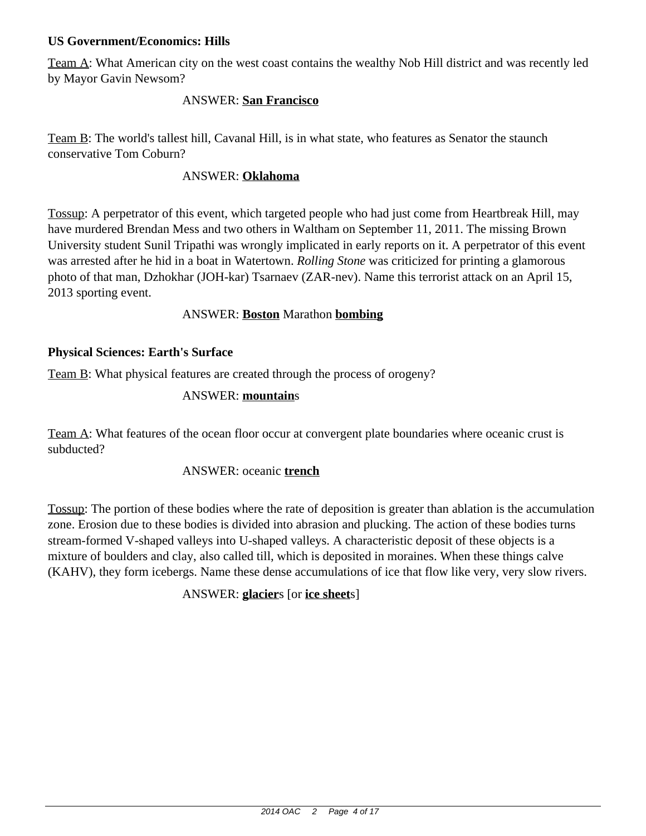## **US Government/Economics: Hills**

Team A: What American city on the west coast contains the wealthy Nob Hill district and was recently led by Mayor Gavin Newsom?

## ANSWER: **San Francisco**

Team B: The world's tallest hill, Cavanal Hill, is in what state, who features as Senator the staunch conservative Tom Coburn?

### ANSWER: **Oklahoma**

Tossup: A perpetrator of this event, which targeted people who had just come from Heartbreak Hill, may have murdered Brendan Mess and two others in Waltham on September 11, 2011. The missing Brown University student Sunil Tripathi was wrongly implicated in early reports on it. A perpetrator of this event was arrested after he hid in a boat in Watertown. *Rolling Stone* was criticized for printing a glamorous photo of that man, Dzhokhar (JOH-kar) Tsarnaev (ZAR-nev). Name this terrorist attack on an April 15, 2013 sporting event.

## ANSWER: **Boston** Marathon **bombing**

## **Physical Sciences: Earth's Surface**

Team B: What physical features are created through the process of orogeny?

## ANSWER: **mountain**s

Team A: What features of the ocean floor occur at convergent plate boundaries where oceanic crust is subducted?

#### ANSWER: oceanic **trench**

Tossup: The portion of these bodies where the rate of deposition is greater than ablation is the accumulation zone. Erosion due to these bodies is divided into abrasion and plucking. The action of these bodies turns stream-formed V-shaped valleys into U-shaped valleys. A characteristic deposit of these objects is a mixture of boulders and clay, also called till, which is deposited in moraines. When these things calve (KAHV), they form icebergs. Name these dense accumulations of ice that flow like very, very slow rivers.

## ANSWER: **glacier**s [or **ice sheet**s]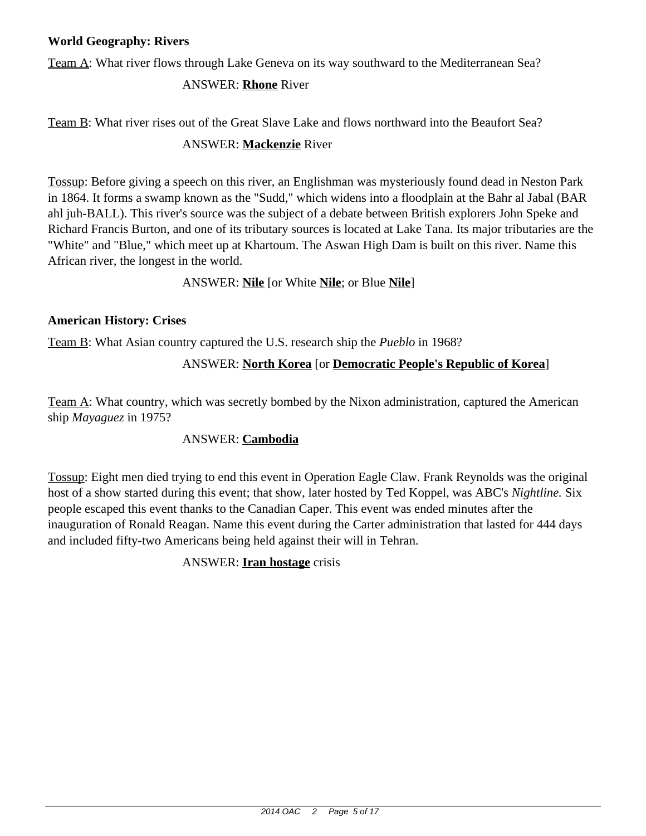## **World Geography: Rivers**

Team A: What river flows through Lake Geneva on its way southward to the Mediterranean Sea?

## ANSWER: **Rhone** River

Team B: What river rises out of the Great Slave Lake and flows northward into the Beaufort Sea?

## ANSWER: **Mackenzie** River

Tossup: Before giving a speech on this river, an Englishman was mysteriously found dead in Neston Park in 1864. It forms a swamp known as the "Sudd," which widens into a floodplain at the Bahr al Jabal (BAR ahl juh-BALL). This river's source was the subject of a debate between British explorers John Speke and Richard Francis Burton, and one of its tributary sources is located at Lake Tana. Its major tributaries are the "White" and "Blue," which meet up at Khartoum. The Aswan High Dam is built on this river. Name this African river, the longest in the world.

## ANSWER: **Nile** [or White **Nile**; or Blue **Nile**]

## **American History: Crises**

Team B: What Asian country captured the U.S. research ship the *Pueblo* in 1968?

## ANSWER: **North Korea** [or **Democratic People's Republic of Korea**]

Team A: What country, which was secretly bombed by the Nixon administration, captured the American ship *Mayaguez* in 1975?

## ANSWER: **Cambodia**

Tossup: Eight men died trying to end this event in Operation Eagle Claw. Frank Reynolds was the original host of a show started during this event; that show, later hosted by Ted Koppel, was ABC's *Nightline.* Six people escaped this event thanks to the Canadian Caper. This event was ended minutes after the inauguration of Ronald Reagan. Name this event during the Carter administration that lasted for 444 days and included fifty-two Americans being held against their will in Tehran.

## ANSWER: **Iran hostage** crisis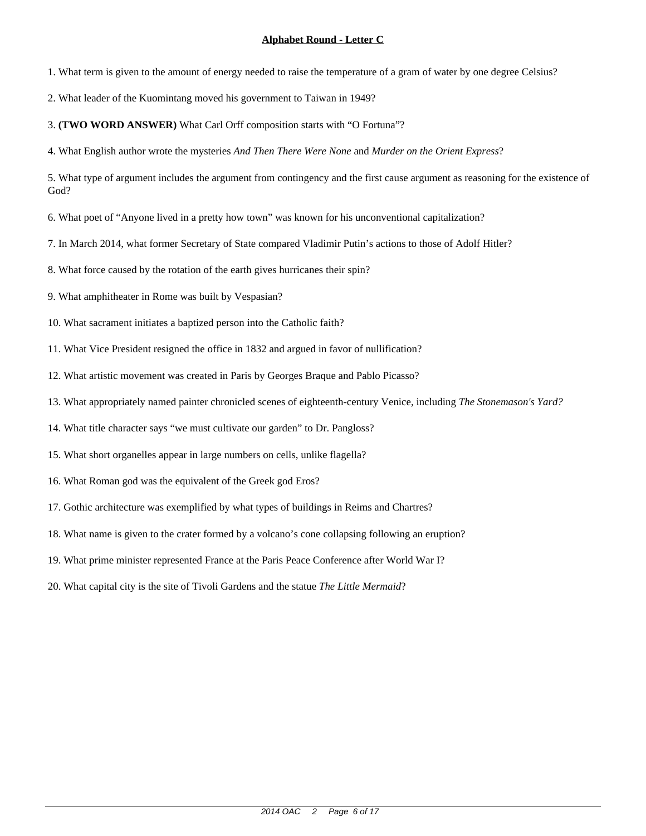1. What term is given to the amount of energy needed to raise the temperature of a gram of water by one degree Celsius?

2. What leader of the Kuomintang moved his government to Taiwan in 1949?

3. **(TWO WORD ANSWER)** What Carl Orff composition starts with "O Fortuna"?

4. What English author wrote the mysteries *And Then There Were None* and *Murder on the Orient Express*?

5. What type of argument includes the argument from contingency and the first cause argument as reasoning for the existence of God?

6. What poet of "Anyone lived in a pretty how town" was known for his unconventional capitalization?

7. In March 2014, what former Secretary of State compared Vladimir Putin's actions to those of Adolf Hitler?

8. What force caused by the rotation of the earth gives hurricanes their spin?

9. What amphitheater in Rome was built by Vespasian?

10. What sacrament initiates a baptized person into the Catholic faith?

11. What Vice President resigned the office in 1832 and argued in favor of nullification?

12. What artistic movement was created in Paris by Georges Braque and Pablo Picasso?

13. What appropriately named painter chronicled scenes of eighteenth-century Venice, including *The Stonemason's Yard?*

14. What title character says "we must cultivate our garden" to Dr. Pangloss?

15. What short organelles appear in large numbers on cells, unlike flagella?

16. What Roman god was the equivalent of the Greek god Eros?

17. Gothic architecture was exemplified by what types of buildings in Reims and Chartres?

18. What name is given to the crater formed by a volcano's cone collapsing following an eruption?

19. What prime minister represented France at the Paris Peace Conference after World War I?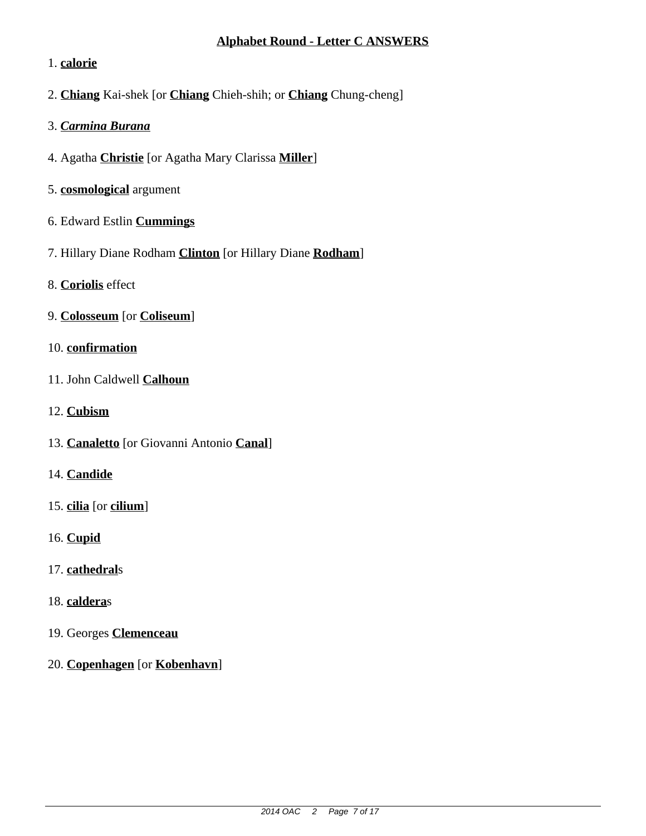## **Alphabet Round - Letter C ANSWERS**

## 1. **calorie**

- 2. **Chiang** Kai-shek [or **Chiang** Chieh-shih; or **Chiang** Chung-cheng]
- 3. *Carmina Burana*
- 4. Agatha **Christie** [or Agatha Mary Clarissa **Miller**]
- 5. **cosmological** argument
- 6. Edward Estlin **Cummings**
- 7. Hillary Diane Rodham **Clinton** [or Hillary Diane **Rodham**]
- 8. **Coriolis** effect
- 9. **Colosseum** [or **Coliseum**]
- 10. **confirmation**
- 11. John Caldwell **Calhoun**
- 12. **Cubism**
- 13. **Canaletto** [or Giovanni Antonio **Canal**]
- 14. **Candide**
- 15. **cilia** [or **cilium**]
- 16. **Cupid**
- 17. **cathedral**s
- 18. **caldera**s
- 19. Georges **Clemenceau**
- 20. **Copenhagen** [or **Kobenhavn**]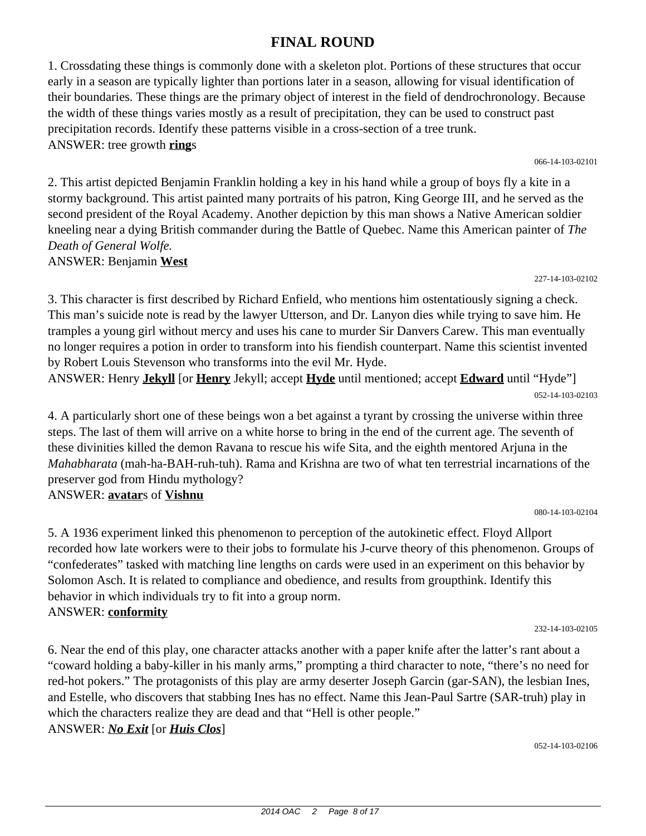## **FINAL ROUND**

1. Crossdating these things is commonly done with a skeleton plot. Portions of these structures that occur early in a season are typically lighter than portions later in a season, allowing for visual identification of their boundaries. These things are the primary object of interest in the field of dendrochronology. Because the width of these things varies mostly as a result of precipitation, they can be used to construct past precipitation records. Identify these patterns visible in a cross-section of a tree trunk. ANSWER: tree growth **ring**s

066-14-103-02101

2. This artist depicted Benjamin Franklin holding a key in his hand while a group of boys fly a kite in a stormy background. This artist painted many portraits of his patron, King George III, and he served as the second president of the Royal Academy. Another depiction by this man shows a Native American soldier kneeling near a dying British commander during the Battle of Quebec. Name this American painter of *The Death of General Wolfe.* ANSWER: Benjamin **West**

227-14-103-02102

3. This character is first described by Richard Enfield, who mentions him ostentatiously signing a check. This man's suicide note is read by the lawyer Utterson, and Dr. Lanyon dies while trying to save him. He tramples a young girl without mercy and uses his cane to murder Sir Danvers Carew. This man eventually no longer requires a potion in order to transform into his fiendish counterpart. Name this scientist invented by Robert Louis Stevenson who transforms into the evil Mr. Hyde.

ANSWER: Henry **Jekyll** [or **Henry** Jekyll; accept **Hyde** until mentioned; accept **Edward** until "Hyde"] 052-14-103-02103

4. A particularly short one of these beings won a bet against a tyrant by crossing the universe within three steps. The last of them will arrive on a white horse to bring in the end of the current age. The seventh of these divinities killed the demon Ravana to rescue his wife Sita, and the eighth mentored Arjuna in the *Mahabharata* (mah-ha-BAH-ruh-tuh). Rama and Krishna are two of what ten terrestrial incarnations of the preserver god from Hindu mythology?

## ANSWER: **avatar**s of **Vishnu**

080-14-103-02104

5. A 1936 experiment linked this phenomenon to perception of the autokinetic effect. Floyd Allport recorded how late workers were to their jobs to formulate his J-curve theory of this phenomenon. Groups of "confederates" tasked with matching line lengths on cards were used in an experiment on this behavior by Solomon Asch. It is related to compliance and obedience, and results from groupthink. Identify this behavior in which individuals try to fit into a group norm. ANSWER: **conformity**

232-14-103-02105

6. Near the end of this play, one character attacks another with a paper knife after the latter's rant about a "coward holding a baby-killer in his manly arms," prompting a third character to note, "there's no need for red-hot pokers." The protagonists of this play are army deserter Joseph Garcin (gar-SAN), the lesbian Ines, and Estelle, who discovers that stabbing Ines has no effect. Name this Jean-Paul Sartre (SAR-truh) play in which the characters realize they are dead and that "Hell is other people." ANSWER: *No Exit* [or *Huis Clos*]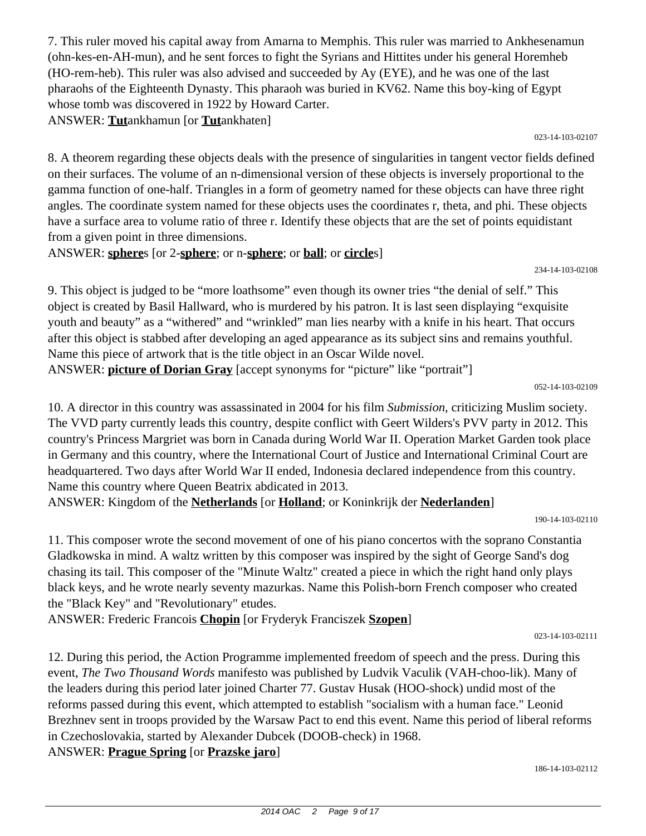7. This ruler moved his capital away from Amarna to Memphis. This ruler was married to Ankhesenamun (ohn-kes-en-AH-mun), and he sent forces to fight the Syrians and Hittites under his general Horemheb (HO-rem-heb). This ruler was also advised and succeeded by Ay (EYE), and he was one of the last pharaohs of the Eighteenth Dynasty. This pharaoh was buried in KV62. Name this boy-king of Egypt whose tomb was discovered in 1922 by Howard Carter. ANSWER: **Tut**ankhamun [or **Tut**ankhaten]

023-14-103-02107

8. A theorem regarding these objects deals with the presence of singularities in tangent vector fields defined on their surfaces. The volume of an n-dimensional version of these objects is inversely proportional to the gamma function of one-half. Triangles in a form of geometry named for these objects can have three right angles. The coordinate system named for these objects uses the coordinates r, theta, and phi. These objects have a surface area to volume ratio of three r. Identify these objects that are the set of points equidistant from a given point in three dimensions.

ANSWER: **sphere**s [or 2-**sphere**; or n-**sphere**; or **ball**; or **circle**s]

234-14-103-02108

9. This object is judged to be "more loathsome" even though its owner tries "the denial of self." This object is created by Basil Hallward, who is murdered by his patron. It is last seen displaying "exquisite youth and beauty" as a "withered" and "wrinkled" man lies nearby with a knife in his heart. That occurs after this object is stabbed after developing an aged appearance as its subject sins and remains youthful. Name this piece of artwork that is the title object in an Oscar Wilde novel. ANSWER: **picture of Dorian Gray** [accept synonyms for "picture" like "portrait"]

052-14-103-02109

10. A director in this country was assassinated in 2004 for his film *Submission,* criticizing Muslim society. The VVD party currently leads this country, despite conflict with Geert Wilders's PVV party in 2012. This country's Princess Margriet was born in Canada during World War II. Operation Market Garden took place in Germany and this country, where the International Court of Justice and International Criminal Court are headquartered. Two days after World War II ended, Indonesia declared independence from this country. Name this country where Queen Beatrix abdicated in 2013.

ANSWER: Kingdom of the **Netherlands** [or **Holland**; or Koninkrijk der **Nederlanden**]

190-14-103-02110

11. This composer wrote the second movement of one of his piano concertos with the soprano Constantia Gladkowska in mind. A waltz written by this composer was inspired by the sight of George Sand's dog chasing its tail. This composer of the "Minute Waltz" created a piece in which the right hand only plays black keys, and he wrote nearly seventy mazurkas. Name this Polish-born French composer who created the "Black Key" and "Revolutionary" etudes.

ANSWER: Frederic Francois **Chopin** [or Fryderyk Franciszek **Szopen**]

023-14-103-02111

12. During this period, the Action Programme implemented freedom of speech and the press. During this event, *The Two Thousand Words* manifesto was published by Ludvik Vaculik (VAH-choo-lik). Many of the leaders during this period later joined Charter 77. Gustav Husak (HOO-shock) undid most of the reforms passed during this event, which attempted to establish "socialism with a human face." Leonid Brezhnev sent in troops provided by the Warsaw Pact to end this event. Name this period of liberal reforms in Czechoslovakia, started by Alexander Dubcek (DOOB-check) in 1968. ANSWER: **Prague Spring** [or **Prazske jaro**]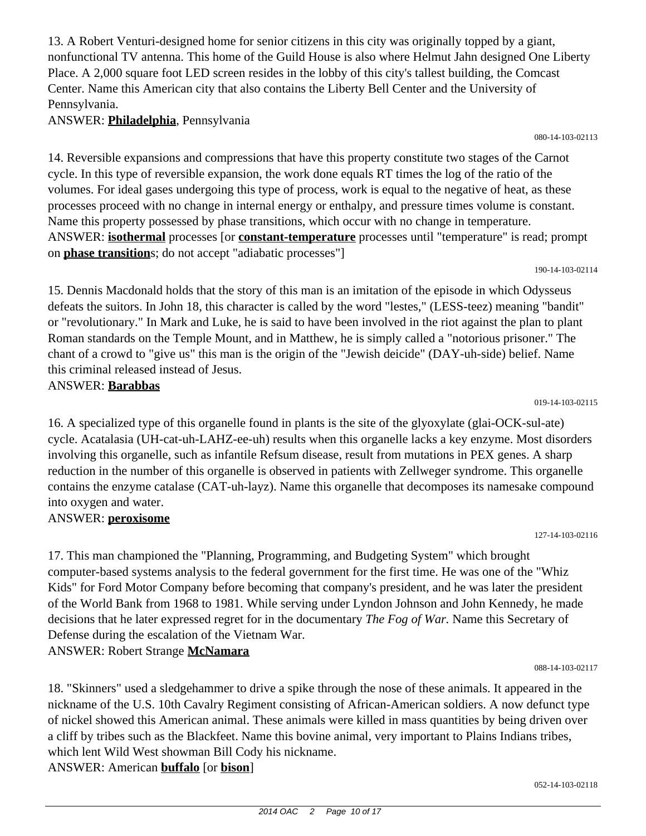13. A Robert Venturi-designed home for senior citizens in this city was originally topped by a giant, nonfunctional TV antenna. This home of the Guild House is also where Helmut Jahn designed One Liberty Place. A 2,000 square foot LED screen resides in the lobby of this city's tallest building, the Comcast Center. Name this American city that also contains the Liberty Bell Center and the University of Pennsylvania.

## ANSWER: **Philadelphia**, Pennsylvania

080-14-103-02113

14. Reversible expansions and compressions that have this property constitute two stages of the Carnot cycle. In this type of reversible expansion, the work done equals RT times the log of the ratio of the volumes. For ideal gases undergoing this type of process, work is equal to the negative of heat, as these processes proceed with no change in internal energy or enthalpy, and pressure times volume is constant. Name this property possessed by phase transitions, which occur with no change in temperature. ANSWER: **isothermal** processes [or **constant-temperature** processes until "temperature" is read; prompt on **phase transition**s; do not accept "adiabatic processes"]

190-14-103-02114

15. Dennis Macdonald holds that the story of this man is an imitation of the episode in which Odysseus defeats the suitors. In John 18, this character is called by the word "lestes," (LESS-teez) meaning "bandit" or "revolutionary." In Mark and Luke, he is said to have been involved in the riot against the plan to plant Roman standards on the Temple Mount, and in Matthew, he is simply called a "notorious prisoner." The chant of a crowd to "give us" this man is the origin of the "Jewish deicide" (DAY-uh-side) belief. Name this criminal released instead of Jesus.

ANSWER: **Barabbas**

019-14-103-02115

127-14-103-02116

16. A specialized type of this organelle found in plants is the site of the glyoxylate (glai-OCK-sul-ate) cycle. Acatalasia (UH-cat-uh-LAHZ-ee-uh) results when this organelle lacks a key enzyme. Most disorders involving this organelle, such as infantile Refsum disease, result from mutations in PEX genes. A sharp reduction in the number of this organelle is observed in patients with Zellweger syndrome. This organelle contains the enzyme catalase (CAT-uh-layz). Name this organelle that decomposes its namesake compound into oxygen and water.

## ANSWER: **peroxisome**

17. This man championed the "Planning, Programming, and Budgeting System" which brought computer-based systems analysis to the federal government for the first time. He was one of the "Whiz Kids" for Ford Motor Company before becoming that company's president, and he was later the president of the World Bank from 1968 to 1981. While serving under Lyndon Johnson and John Kennedy, he made decisions that he later expressed regret for in the documentary *The Fog of War.* Name this Secretary of Defense during the escalation of the Vietnam War.

ANSWER: Robert Strange **McNamara**

18. "Skinners" used a sledgehammer to drive a spike through the nose of these animals. It appeared in the nickname of the U.S. 10th Cavalry Regiment consisting of African-American soldiers. A now defunct type of nickel showed this American animal. These animals were killed in mass quantities by being driven over a cliff by tribes such as the Blackfeet. Name this bovine animal, very important to Plains Indians tribes, which lent Wild West showman Bill Cody his nickname. ANSWER: American **buffalo** [or **bison**]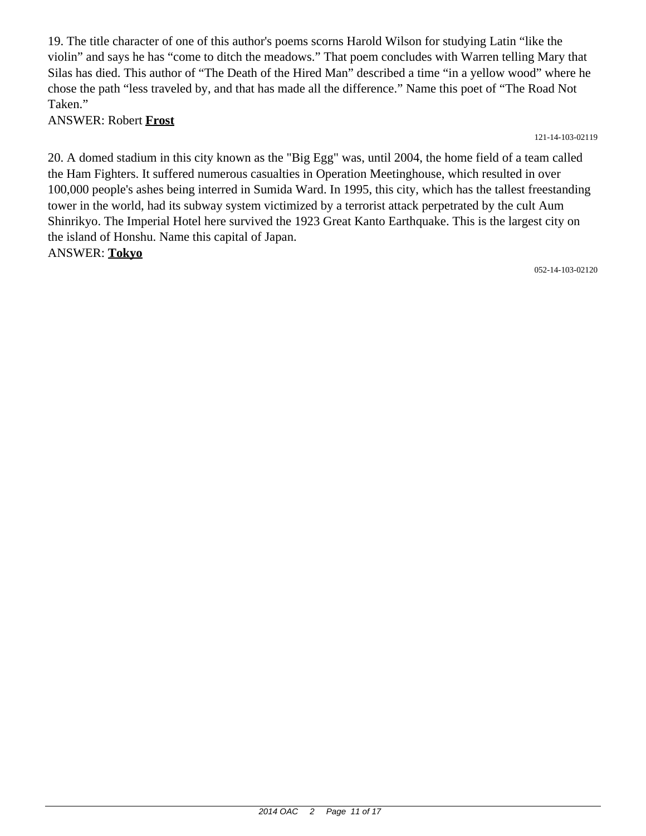19. The title character of one of this author's poems scorns Harold Wilson for studying Latin "like the violin" and says he has "come to ditch the meadows." That poem concludes with Warren telling Mary that Silas has died. This author of "The Death of the Hired Man" described a time "in a yellow wood" where he chose the path "less traveled by, and that has made all the difference." Name this poet of "The Road Not Taken."

ANSWER: Robert **Frost**

121-14-103-02119

20. A domed stadium in this city known as the "Big Egg" was, until 2004, the home field of a team called the Ham Fighters. It suffered numerous casualties in Operation Meetinghouse, which resulted in over 100,000 people's ashes being interred in Sumida Ward. In 1995, this city, which has the tallest freestanding tower in the world, had its subway system victimized by a terrorist attack perpetrated by the cult Aum Shinrikyo. The Imperial Hotel here survived the 1923 Great Kanto Earthquake. This is the largest city on the island of Honshu. Name this capital of Japan. ANSWER: **Tokyo**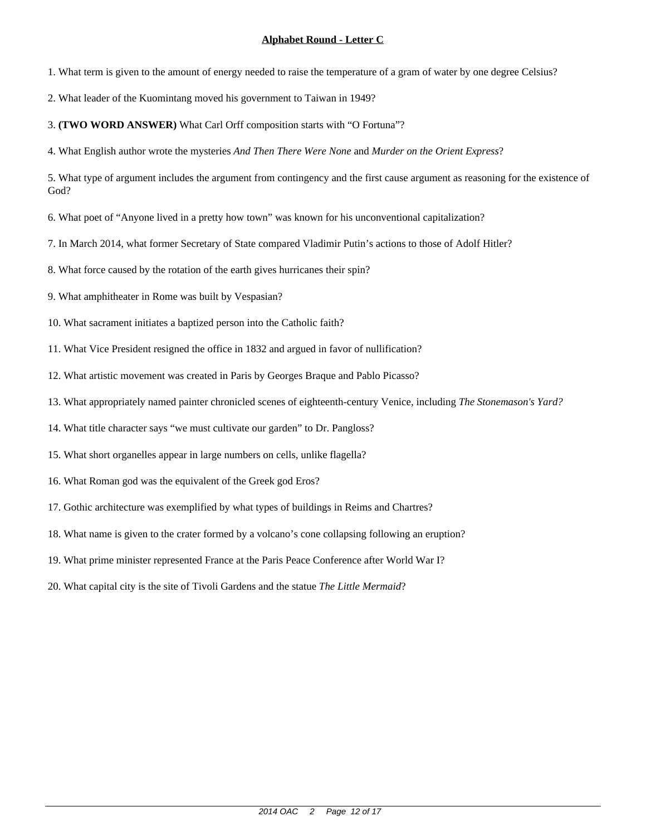1. What term is given to the amount of energy needed to raise the temperature of a gram of water by one degree Celsius?

2. What leader of the Kuomintang moved his government to Taiwan in 1949?

3. **(TWO WORD ANSWER)** What Carl Orff composition starts with "O Fortuna"?

4. What English author wrote the mysteries *And Then There Were None* and *Murder on the Orient Express*?

5. What type of argument includes the argument from contingency and the first cause argument as reasoning for the existence of God?

6. What poet of "Anyone lived in a pretty how town" was known for his unconventional capitalization?

7. In March 2014, what former Secretary of State compared Vladimir Putin's actions to those of Adolf Hitler?

8. What force caused by the rotation of the earth gives hurricanes their spin?

9. What amphitheater in Rome was built by Vespasian?

10. What sacrament initiates a baptized person into the Catholic faith?

11. What Vice President resigned the office in 1832 and argued in favor of nullification?

12. What artistic movement was created in Paris by Georges Braque and Pablo Picasso?

13. What appropriately named painter chronicled scenes of eighteenth-century Venice, including *The Stonemason's Yard?*

14. What title character says "we must cultivate our garden" to Dr. Pangloss?

15. What short organelles appear in large numbers on cells, unlike flagella?

16. What Roman god was the equivalent of the Greek god Eros?

17. Gothic architecture was exemplified by what types of buildings in Reims and Chartres?

18. What name is given to the crater formed by a volcano's cone collapsing following an eruption?

19. What prime minister represented France at the Paris Peace Conference after World War I?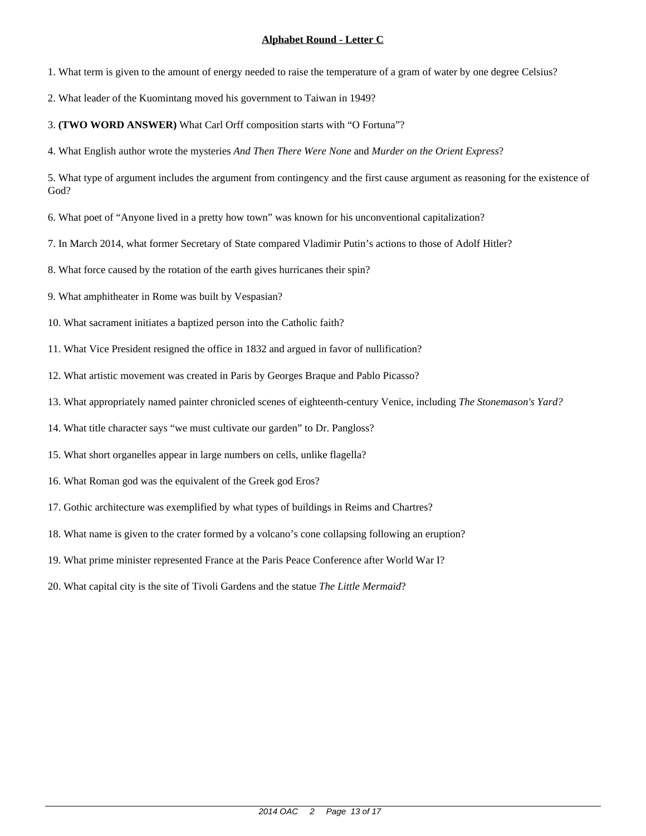1. What term is given to the amount of energy needed to raise the temperature of a gram of water by one degree Celsius?

2. What leader of the Kuomintang moved his government to Taiwan in 1949?

3. **(TWO WORD ANSWER)** What Carl Orff composition starts with "O Fortuna"?

4. What English author wrote the mysteries *And Then There Were None* and *Murder on the Orient Express*?

5. What type of argument includes the argument from contingency and the first cause argument as reasoning for the existence of God?

6. What poet of "Anyone lived in a pretty how town" was known for his unconventional capitalization?

7. In March 2014, what former Secretary of State compared Vladimir Putin's actions to those of Adolf Hitler?

8. What force caused by the rotation of the earth gives hurricanes their spin?

9. What amphitheater in Rome was built by Vespasian?

10. What sacrament initiates a baptized person into the Catholic faith?

11. What Vice President resigned the office in 1832 and argued in favor of nullification?

12. What artistic movement was created in Paris by Georges Braque and Pablo Picasso?

13. What appropriately named painter chronicled scenes of eighteenth-century Venice, including *The Stonemason's Yard?*

14. What title character says "we must cultivate our garden" to Dr. Pangloss?

15. What short organelles appear in large numbers on cells, unlike flagella?

16. What Roman god was the equivalent of the Greek god Eros?

17. Gothic architecture was exemplified by what types of buildings in Reims and Chartres?

18. What name is given to the crater formed by a volcano's cone collapsing following an eruption?

19. What prime minister represented France at the Paris Peace Conference after World War I?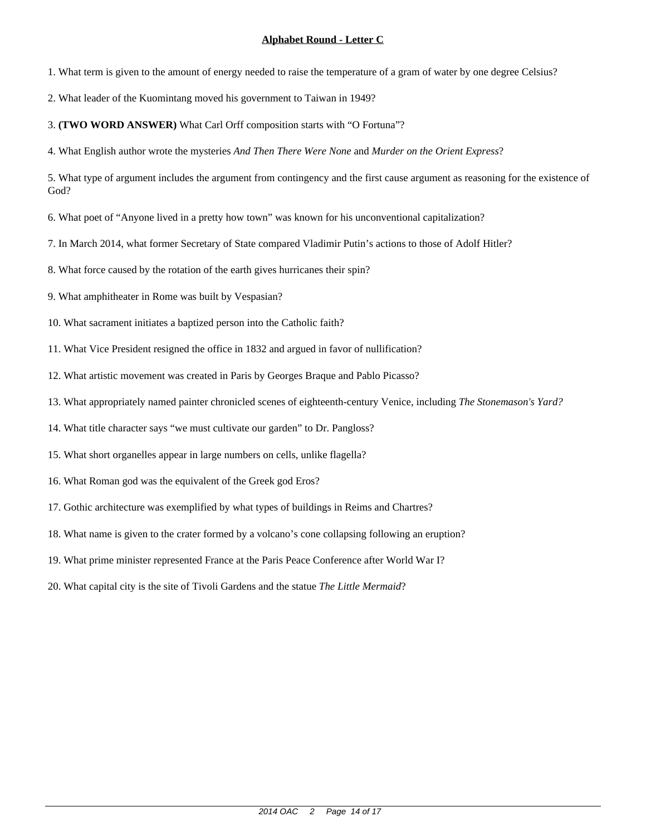1. What term is given to the amount of energy needed to raise the temperature of a gram of water by one degree Celsius?

2. What leader of the Kuomintang moved his government to Taiwan in 1949?

3. **(TWO WORD ANSWER)** What Carl Orff composition starts with "O Fortuna"?

4. What English author wrote the mysteries *And Then There Were None* and *Murder on the Orient Express*?

5. What type of argument includes the argument from contingency and the first cause argument as reasoning for the existence of God?

6. What poet of "Anyone lived in a pretty how town" was known for his unconventional capitalization?

7. In March 2014, what former Secretary of State compared Vladimir Putin's actions to those of Adolf Hitler?

8. What force caused by the rotation of the earth gives hurricanes their spin?

9. What amphitheater in Rome was built by Vespasian?

10. What sacrament initiates a baptized person into the Catholic faith?

11. What Vice President resigned the office in 1832 and argued in favor of nullification?

12. What artistic movement was created in Paris by Georges Braque and Pablo Picasso?

13. What appropriately named painter chronicled scenes of eighteenth-century Venice, including *The Stonemason's Yard?*

14. What title character says "we must cultivate our garden" to Dr. Pangloss?

15. What short organelles appear in large numbers on cells, unlike flagella?

16. What Roman god was the equivalent of the Greek god Eros?

17. Gothic architecture was exemplified by what types of buildings in Reims and Chartres?

18. What name is given to the crater formed by a volcano's cone collapsing following an eruption?

19. What prime minister represented France at the Paris Peace Conference after World War I?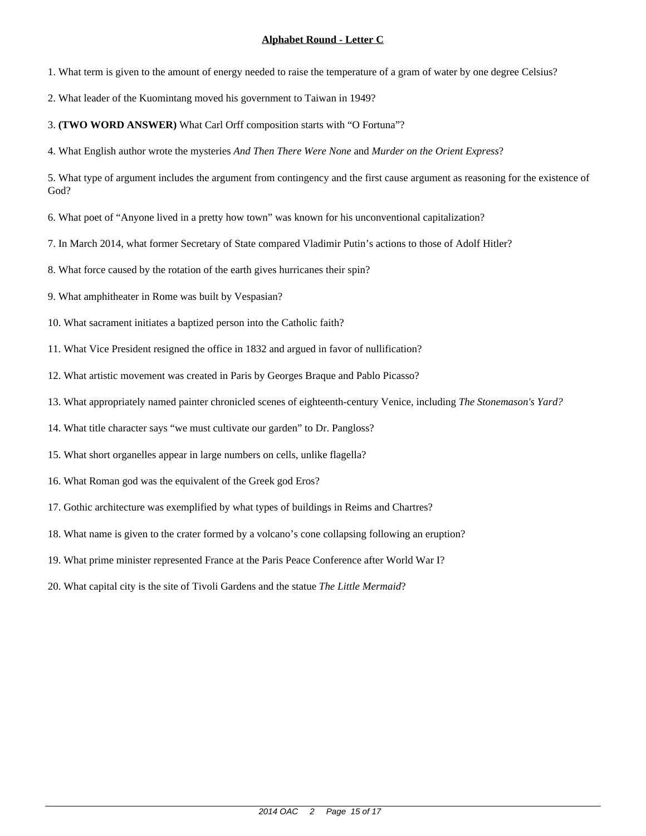1. What term is given to the amount of energy needed to raise the temperature of a gram of water by one degree Celsius?

2. What leader of the Kuomintang moved his government to Taiwan in 1949?

3. **(TWO WORD ANSWER)** What Carl Orff composition starts with "O Fortuna"?

4. What English author wrote the mysteries *And Then There Were None* and *Murder on the Orient Express*?

5. What type of argument includes the argument from contingency and the first cause argument as reasoning for the existence of God?

6. What poet of "Anyone lived in a pretty how town" was known for his unconventional capitalization?

7. In March 2014, what former Secretary of State compared Vladimir Putin's actions to those of Adolf Hitler?

8. What force caused by the rotation of the earth gives hurricanes their spin?

9. What amphitheater in Rome was built by Vespasian?

10. What sacrament initiates a baptized person into the Catholic faith?

11. What Vice President resigned the office in 1832 and argued in favor of nullification?

12. What artistic movement was created in Paris by Georges Braque and Pablo Picasso?

13. What appropriately named painter chronicled scenes of eighteenth-century Venice, including *The Stonemason's Yard?*

14. What title character says "we must cultivate our garden" to Dr. Pangloss?

15. What short organelles appear in large numbers on cells, unlike flagella?

16. What Roman god was the equivalent of the Greek god Eros?

17. Gothic architecture was exemplified by what types of buildings in Reims and Chartres?

18. What name is given to the crater formed by a volcano's cone collapsing following an eruption?

19. What prime minister represented France at the Paris Peace Conference after World War I?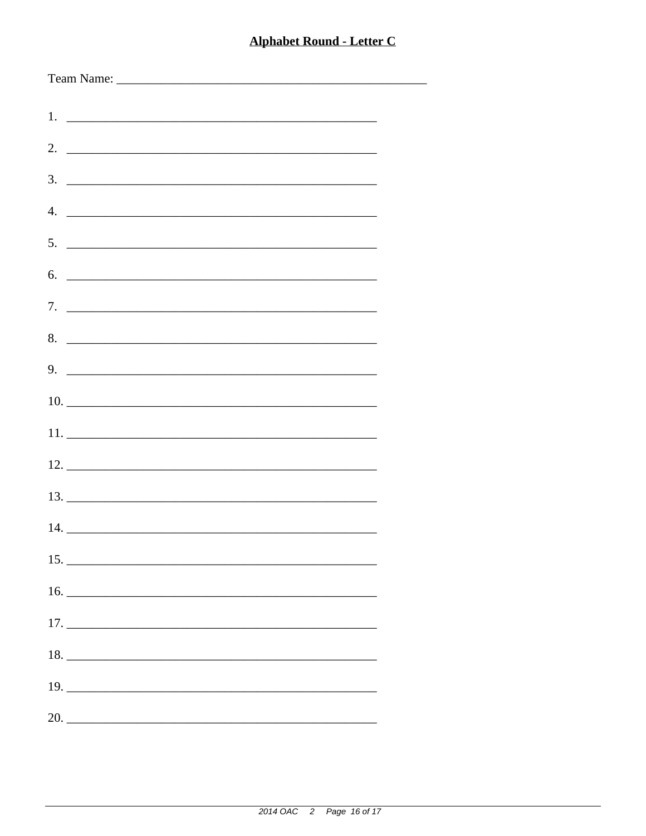| $5.$ $\overline{\phantom{a}}$                                                                                                                         |
|-------------------------------------------------------------------------------------------------------------------------------------------------------|
| 6.                                                                                                                                                    |
|                                                                                                                                                       |
|                                                                                                                                                       |
| 8.                                                                                                                                                    |
| $9.$ $\overline{\phantom{1.55\,\mathrm{m}}\phantom{1.55\,\mathrm{m}}\phantom{1.55\,\mathrm{m}}\phantom{1.55\,\mathrm{m}}\phantom{1.55\,\mathrm{m}}}}$ |
|                                                                                                                                                       |
|                                                                                                                                                       |
|                                                                                                                                                       |
|                                                                                                                                                       |
|                                                                                                                                                       |
|                                                                                                                                                       |
|                                                                                                                                                       |
|                                                                                                                                                       |
|                                                                                                                                                       |
| $17. \_$                                                                                                                                              |
|                                                                                                                                                       |
|                                                                                                                                                       |
|                                                                                                                                                       |
|                                                                                                                                                       |